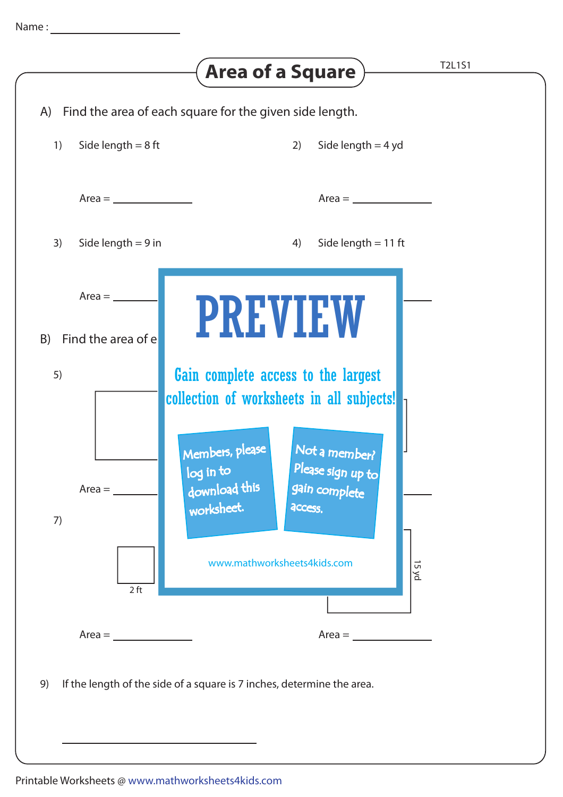